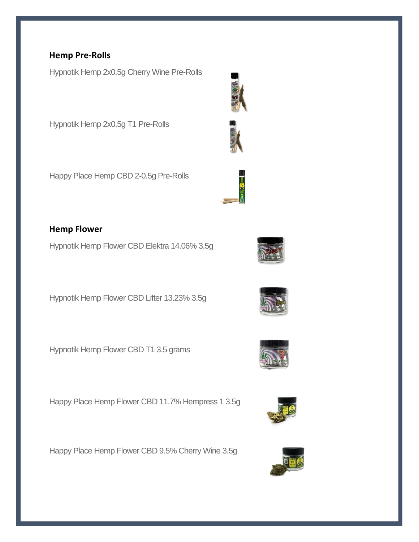#### **Hemp Pre-Rolls**

Hypnotik Hemp 2x0.5g Cherry Wine Pre-Rolls

Hypnotik Hemp 2x0.5g T1 Pre-Rolls

Happy Place Hemp CBD 2-0.5g Pre-Rolls

# **Hemp Flower**

Hypnotik Hemp Flower CBD Elektra 14.06% 3.5g

Hypnotik Hemp Flower CBD Lifter 13.23% 3.5g

Hypnotik Hemp Flower CBD T1 3.5 grams

Happy Place Hemp Flower CBD 11.7% Hempress 1 3.5g

Happy Place Hemp Flower CBD 9.5% Cherry Wine 3.5g









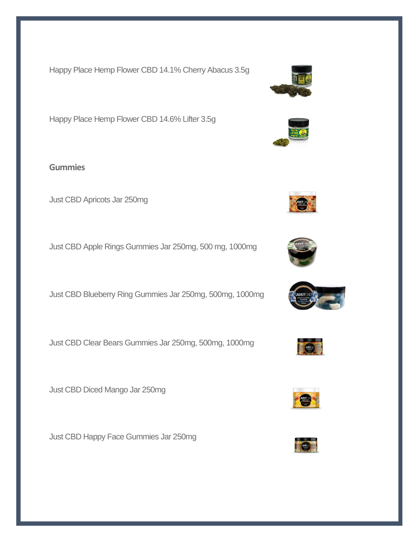Happy Place Hemp Flower CBD 14.1% Cherry Abacus 3.5g

Happy Place Hemp Flower CBD 14.6% Lifter 3.5g

**Gummies**

Just CBD Apricots Jar 250mg

Just CBD Apple Rings Gummies Jar 250mg, 500 mg, 1000mg

Just CBD Blueberry Ring Gummies Jar 250mg, 500mg, 1000mg

Just CBD Clear Bears Gummies Jar 250mg, 500mg, 1000mg

Just CBD Diced Mango Jar 250mg

Just CBD Happy Face Gummies Jar 250mg







E







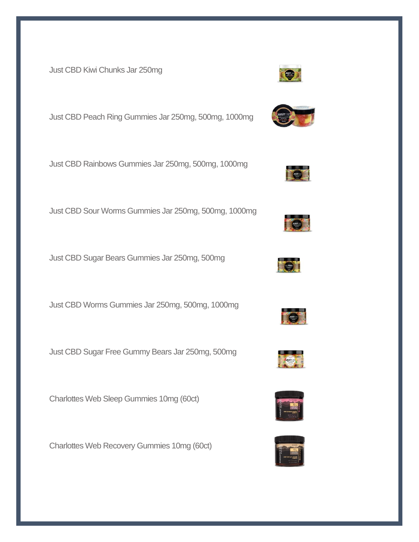Just CBD Kiwi Chunks Jar 250mg

Just CBD Peach Ring Gummies Jar 250mg, 500mg, 1000mg

Just CBD Rainbows Gummies Jar 250mg, 500mg, 1000mg

Just CBD Sour Worms Gummies Jar 250mg, 500mg, 1000mg

Just CBD Sugar Bears Gummies Jar 250mg, 500mg

Just CBD Worms Gummies Jar 250mg, 500mg, 1000mg

Just CBD Sugar Free Gummy Bears Jar 250mg, 500mg

Charlottes Web Sleep Gummies 10mg (60ct)

Charlottes Web Recovery Gummies 10mg (60ct)

















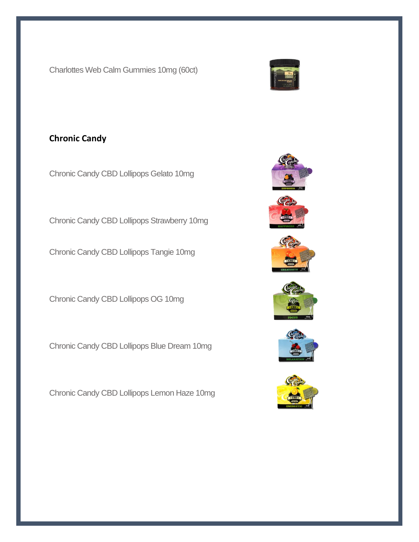Charlottes Web Calm Gummies 10mg (60ct)



## **Chronic Candy**

Chronic Candy CBD Lollipops Gelato 10mg

Chronic Candy CBD Lollipops Strawberry 10mg

Chronic Candy CBD Lollipops Tangie 10mg

Chronic Candy CBD Lollipops OG 10mg

Chronic Candy CBD Lollipops Blue Dream 10mg

Chronic Candy CBD Lollipops Lemon Haze 10mg











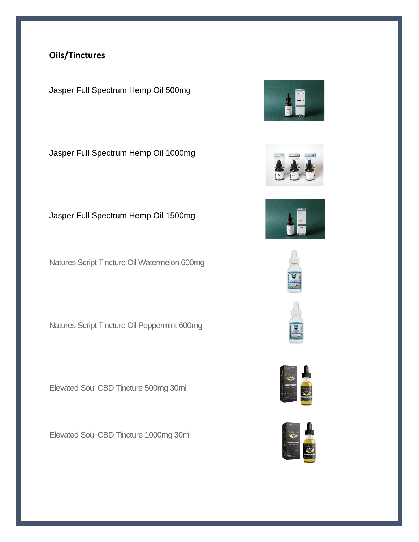# **Oils/Tinctures**

Jasper Full Spectrum Hemp Oil 500mg

Jasper Full Spectrum Hemp Oil 1000mg

### Jasper Full Spectrum Hemp Oil 1500mg

Natures Script Tincture Oil Watermelon 600mg

Natures Script Tincture Oil Peppermint 600mg

Elevated Soul CBD Tincture 500mg 30ml

Elevated Soul CBD Tincture 1000mg 30ml













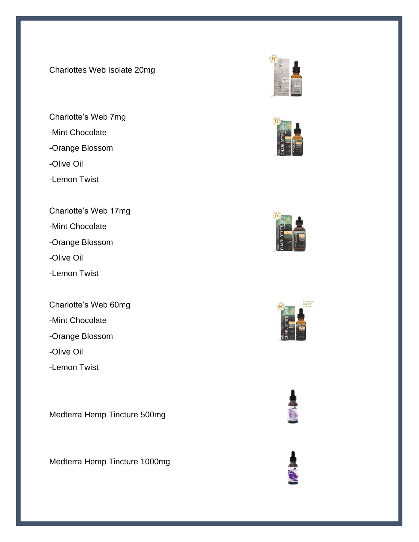Charlottes Web Isolate 20mg

Charlotte's Web 7mg -Mint Chocolate -Orange Blossom -Olive Oil -Lemon Twist

Charlotte's Web 17mg

-Mint Chocolate

-Orange Blossom

-Olive Oil

-Lemon Twist

Charlotte's Web 60mg

-Mint Chocolate

-Orange Blossom

-Olive Oil

-Lemon Twist

Medterra Hemp Tincture 500mg

Medterra Hemp Tincture 1000mg











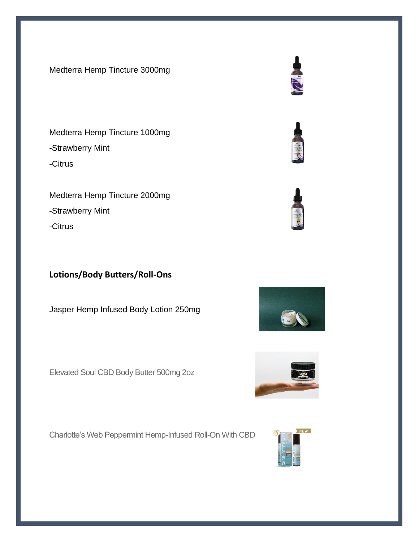Medterra Hemp Tincture 3000mg

Medterra Hemp Tincture 1000mg -Strawberry Mint -Citrus

Medterra Hemp Tincture 2000mg -Strawberry Mint -Citrus

### **Lotions/Body Butters/Roll-Ons**

Jasper Hemp Infused Body Lotion 250mg

Elevated Soul CBD Body Butter 500mg 2oz

Charlotte's Web Peppermint Hemp-Infused Roll-On With CBD